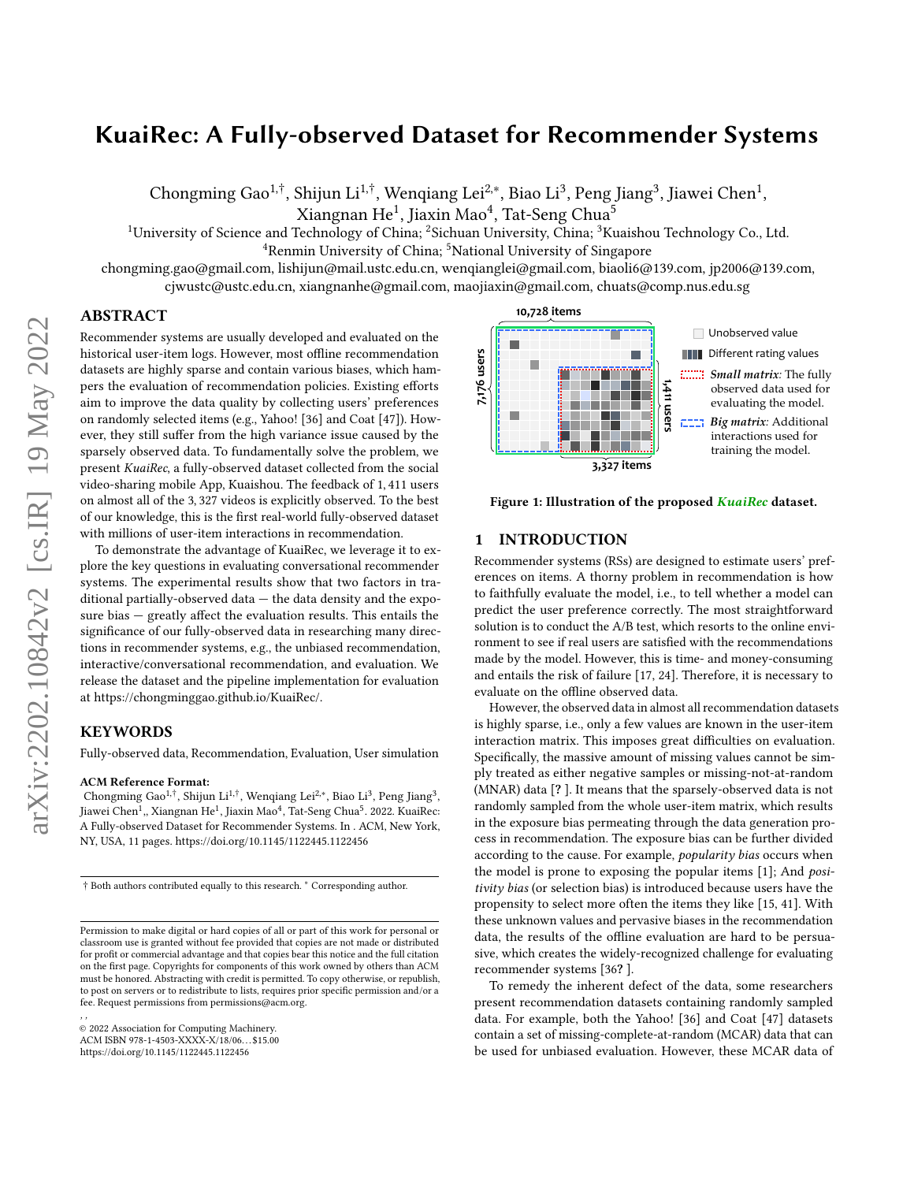# KuaiRec: A Fully-observed Dataset for Recommender Systems

Chongming Gao $^{1, \dagger}$ , Shijun Li $^{1, \dagger}$ , Wenqiang Lei $^{2, *}$ , Biao Li $^3$ , Peng Jiang $^3$ , Jiawei Chen $^1$ ,

Xiangnan He $^1$ , Jiaxin Mao $^4$ , Tat-Seng Chua $^5$ 

<sup>1</sup>University of Science and Technology of China; <sup>2</sup>Sichuan University, China;  ${}^{3}$ Kuaishou Technology Co., Ltd.

<sup>4</sup>Renmin University of China; <sup>5</sup>National University of Singapore

chongming.gao@gmail.com, lishijun@mail.ustc.edu.cn, wenqianglei@gmail.com, biaoli6@139.com, jp2006@139.com, cjwustc@ustc.edu.cn, xiangnanhe@gmail.com, maojiaxin@gmail.com, chuats@comp.nus.edu.sg

# ABSTRACT

Recommender systems are usually developed and evaluated on the historical user-item logs. However, most offline recommendation datasets are highly sparse and contain various biases, which hampers the evaluation of recommendation policies. Existing efforts aim to improve the data quality by collecting users' preferences on randomly selected items (e.g., Yahoo! [\[36\]](#page-9-0) and Coat [\[47\]](#page-9-1)). However, they still suffer from the high variance issue caused by the sparsely observed data. To fundamentally solve the problem, we present KuaiRec, a fully-observed dataset collected from the social video-sharing mobile App, Kuaishou. The feedback of 1, 411 users on almost all of the 3, 327 videos is explicitly observed. To the best of our knowledge, this is the first real-world fully-observed dataset with millions of user-item interactions in recommendation.

To demonstrate the advantage of KuaiRec, we leverage it to explore the key questions in evaluating conversational recommender systems. The experimental results show that two factors in traditional partially-observed data — the data density and the exposure bias — greatly affect the evaluation results. This entails the significance of our fully-observed data in researching many directions in recommender systems, e.g., the unbiased recommendation, interactive/conversational recommendation, and evaluation. We release the dataset and the pipeline implementation for evaluation at [https://chongminggao.github.io/KuaiRec/.](https://chongminggao.github.io/KuaiRec/)

# **KEYWORDS**

Fully-observed data, Recommendation, Evaluation, User simulation

#### ACM Reference Format:

Chongming Gao<sup>1,†</sup>, Shijun Li<sup>1,†</sup>, Wenqiang Lei<sup>2,∗</sup>, Biao Li<sup>3</sup>, Peng Jiang<sup>3</sup>, Jiawei Chen<sup>1</sup>,, Xiangnan He<sup>1</sup>, Jiaxin Mao<sup>4</sup>, Tat-Seng Chua<sup>5</sup>. 2022. KuaiRec: A Fully-observed Dataset for Recommender Systems. In . ACM, New York, NY, USA, [11](#page-10-0) pages.<https://doi.org/10.1145/1122445.1122456>

, ,

<span id="page-0-0"></span>

Figure 1: Illustration of the proposed KuaiRec dataset.

# <span id="page-0-1"></span>1 INTRODUCTION

Recommender systems (RSs) are designed to estimate users' preferences on items. A thorny problem in recommendation is how to faithfully evaluate the model, i.e., to tell whether a model can predict the user preference correctly. The most straightforward solution is to conduct the A/B test, which resorts to the online environment to see if real users are satisfied with the recommendations made by the model. However, this is time- and money-consuming and entails the risk of failure [\[17,](#page-9-2) [24\]](#page-9-3). Therefore, it is necessary to evaluate on the offline observed data.

However, the observed data in almost all recommendation datasets is highly sparse, i.e., only a few values are known in the user-item interaction matrix. This imposes great difficulties on evaluation. Specifically, the massive amount of missing values cannot be simply treated as either negative samples or missing-not-at-random (MNAR) data [? ]. It means that the sparsely-observed data is not randomly sampled from the whole user-item matrix, which results in the exposure bias permeating through the data generation process in recommendation. The exposure bias can be further divided according to the cause. For example, popularity bias occurs when the model is prone to exposing the popular items [\[1\]](#page-9-4); And positivity bias (or selection bias) is introduced because users have the propensity to select more often the items they like [\[15,](#page-9-5) [41\]](#page-9-6). With these unknown values and pervasive biases in the recommendation data, the results of the offline evaluation are hard to be persuasive, which creates the widely-recognized challenge for evaluating recommender systems [\[36](#page-9-0)? ].

To remedy the inherent defect of the data, some researchers present recommendation datasets containing randomly sampled data. For example, both the Yahoo! [\[36\]](#page-9-0) and Coat [\[47\]](#page-9-1) datasets contain a set of missing-complete-at-random (MCAR) data that can be used for unbiased evaluation. However, these MCAR data of

<sup>†</sup> Both authors contributed equally to this research. <sup>∗</sup> Corresponding author.

Permission to make digital or hard copies of all or part of this work for personal or classroom use is granted without fee provided that copies are not made or distributed for profit or commercial advantage and that copies bear this notice and the full citation on the first page. Copyrights for components of this work owned by others than ACM must be honored. Abstracting with credit is permitted. To copy otherwise, or republish, to post on servers or to redistribute to lists, requires prior specific permission and/or a fee. Request permissions from permissions@acm.org.

<sup>©</sup> 2022 Association for Computing Machinery. ACM ISBN 978-1-4503-XXXX-X/18/06. . . \$15.00

<https://doi.org/10.1145/1122445.1122456>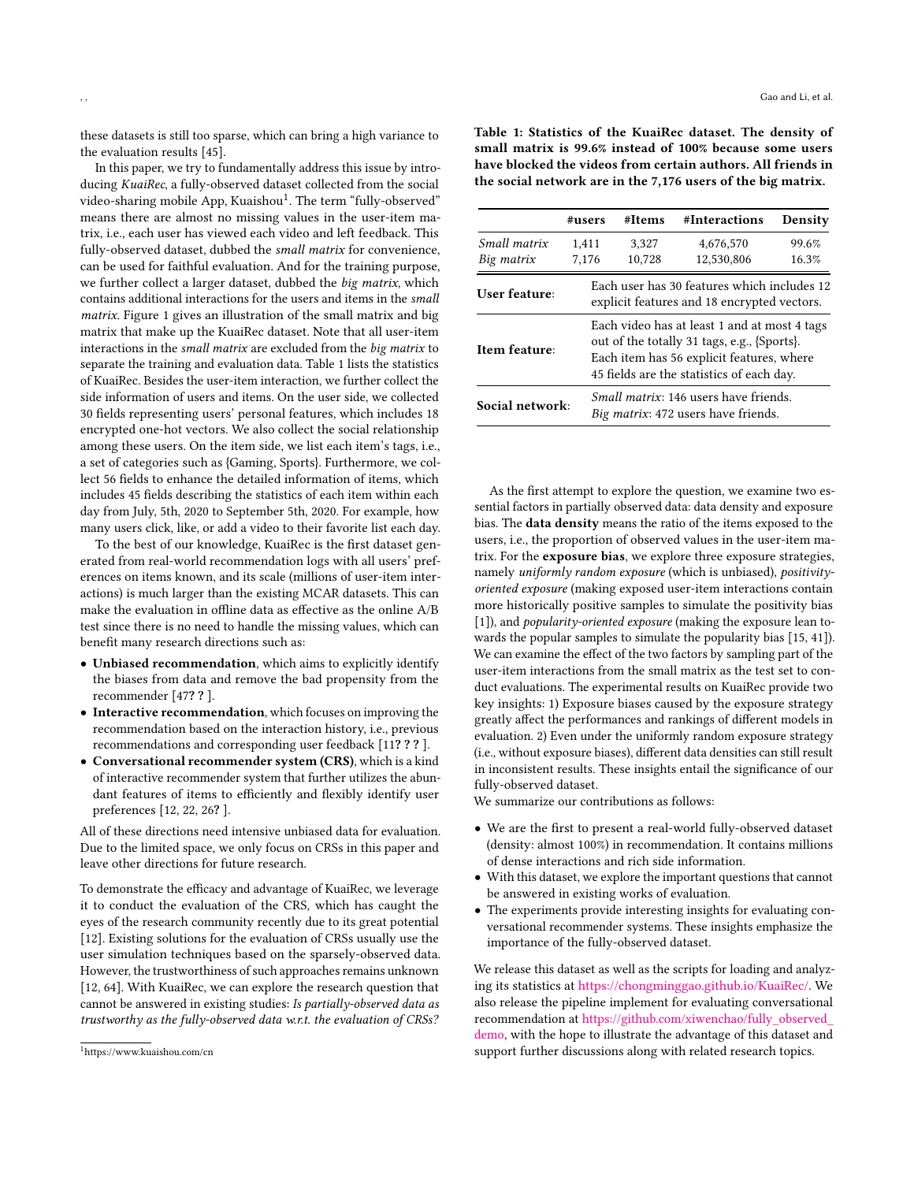these datasets is still too sparse, which can bring a high variance to the evaluation results [\[45\]](#page-9-7).

In this paper, we try to fundamentally address this issue by introducing KuaiRec, a fully-observed dataset collected from the social video-sharing mobile App, Kuaishou<sup>[1](#page-1-0)</sup>. The term "fully-observed" means there are almost no missing values in the user-item matrix, i.e., each user has viewed each video and left feedback. This fully-observed dataset, dubbed the small matrix for convenience, can be used for faithful evaluation. And for the training purpose, we further collect a larger dataset, dubbed the big matrix, which contains additional interactions for the users and items in the small matrix. [Figure 1](#page-0-0) gives an illustration of the small matrix and big matrix that make up the KuaiRec dataset. Note that all user-item interactions in the small matrix are excluded from the big matrix to separate the training and evaluation data. [Table 1](#page-1-1) lists the statistics of KuaiRec. Besides the user-item interaction, we further collect the side information of users and items. On the user side, we collected 30 fields representing users' personal features, which includes 18 encrypted one-hot vectors. We also collect the social relationship among these users. On the item side, we list each item's tags, i.e., a set of categories such as {Gaming, Sports}. Furthermore, we collect 56 fields to enhance the detailed information of items, which includes 45 fields describing the statistics of each item within each day from July, 5th, 2020 to September 5th, 2020. For example, how many users click, like, or add a video to their favorite list each day.

To the best of our knowledge, KuaiRec is the first dataset generated from real-world recommendation logs with all users' preferences on items known, and its scale (millions of user-item interactions) is much larger than the existing MCAR datasets. This can make the evaluation in offline data as effective as the online A/B test since there is no need to handle the missing values, which can benefit many research directions such as:

- Unbiased recommendation, which aims to explicitly identify the biases from data and remove the bad propensity from the recommender [\[47](#page-9-1)? ? ].
- Interactive recommendation, which focuses on improving the recommendation based on the interaction history, i.e., previous recommendations and corresponding user feedback [\[11](#page-9-8)? ? ? ].
- Conversational recommender system (CRS), which is a kind of interactive recommender system that further utilizes the abundant features of items to efficiently and flexibly identify user preferences [\[12,](#page-9-9) [22,](#page-9-10) [26](#page-9-11)? ].

All of these directions need intensive unbiased data for evaluation. Due to the limited space, we only focus on CRSs in this paper and leave other directions for future research.

To demonstrate the efficacy and advantage of KuaiRec, we leverage it to conduct the evaluation of the CRS, which has caught the eyes of the research community recently due to its great potential [\[12\]](#page-9-9). Existing solutions for the evaluation of CRSs usually use the user simulation techniques based on the sparsely-observed data. However, the trustworthiness of such approaches remains unknown [\[12,](#page-9-9) [64\]](#page-10-1). With KuaiRec, we can explore the research question that cannot be answered in existing studies: Is partially-observed data as trustworthy as the fully-observed data w.r.t. the evaluation of CRSs?

<span id="page-1-1"></span>Table 1: Statistics of the KuaiRec dataset. The density of small matrix is 99.6% instead of 100% because some users have blocked the videos from certain authors. All friends in the social network are in the 7,176 users of the big matrix.

|                 | #users | #Items                                                                                                                                                                                | #Interactions | Density |  |  |  |
|-----------------|--------|---------------------------------------------------------------------------------------------------------------------------------------------------------------------------------------|---------------|---------|--|--|--|
| Small matrix    | 1,411  | 3,327                                                                                                                                                                                 | 4,676,570     | 99.6%   |  |  |  |
| Big matrix      | 7,176  | 10,728                                                                                                                                                                                | 12,530,806    | 16.3%   |  |  |  |
| User feature:   |        | Each user has 30 features which includes 12<br>explicit features and 18 encrypted vectors.                                                                                            |               |         |  |  |  |
| Item feature:   |        | Each video has at least 1 and at most 4 tags<br>out of the totally 31 tags, e.g., {Sports}.<br>Each item has 56 explicit features, where<br>45 fields are the statistics of each day. |               |         |  |  |  |
| Social network: |        | <i>Small matrix:</i> 146 users have friends.<br><i>Big matrix</i> : 472 users have friends.                                                                                           |               |         |  |  |  |

As the first attempt to explore the question, we examine two essential factors in partially observed data: data density and exposure bias. The data density means the ratio of the items exposed to the users, i.e., the proportion of observed values in the user-item matrix. For the exposure bias, we explore three exposure strategies, namely uniformly random exposure (which is unbiased), positivityoriented exposure (making exposed user-item interactions contain more historically positive samples to simulate the positivity bias [\[1\]](#page-9-4)), and *popularity-oriented exposure* (making the exposure lean towards the popular samples to simulate the popularity bias [\[15,](#page-9-5) [41\]](#page-9-6)). We can examine the effect of the two factors by sampling part of the user-item interactions from the small matrix as the test set to conduct evaluations. The experimental results on KuaiRec provide two key insights: 1) Exposure biases caused by the exposure strategy greatly affect the performances and rankings of different models in evaluation. 2) Even under the uniformly random exposure strategy (i.e., without exposure biases), different data densities can still result in inconsistent results. These insights entail the significance of our fully-observed dataset.

We summarize our contributions as follows:

- We are the first to present a real-world fully-observed dataset (density: almost 100%) in recommendation. It contains millions of dense interactions and rich side information.
- With this dataset, we explore the important questions that cannot be answered in existing works of evaluation.
- The experiments provide interesting insights for evaluating conversational recommender systems. These insights emphasize the importance of the fully-observed dataset.

We release this dataset as well as the scripts for loading and analyzing its statistics at [https://chongminggao.github.io/KuaiRec/.](https://chongminggao.github.io/KuaiRec/) We also release the pipeline implement for evaluating conversational recommendation at [https://github.com/xiwenchao/fully\\_observed\\_](https://github.com/xiwenchao/fully_observed_demo) [demo,](https://github.com/xiwenchao/fully_observed_demo) with the hope to illustrate the advantage of this dataset and support further discussions along with related research topics.

<span id="page-1-0"></span><sup>1</sup><https://www.kuaishou.com/cn>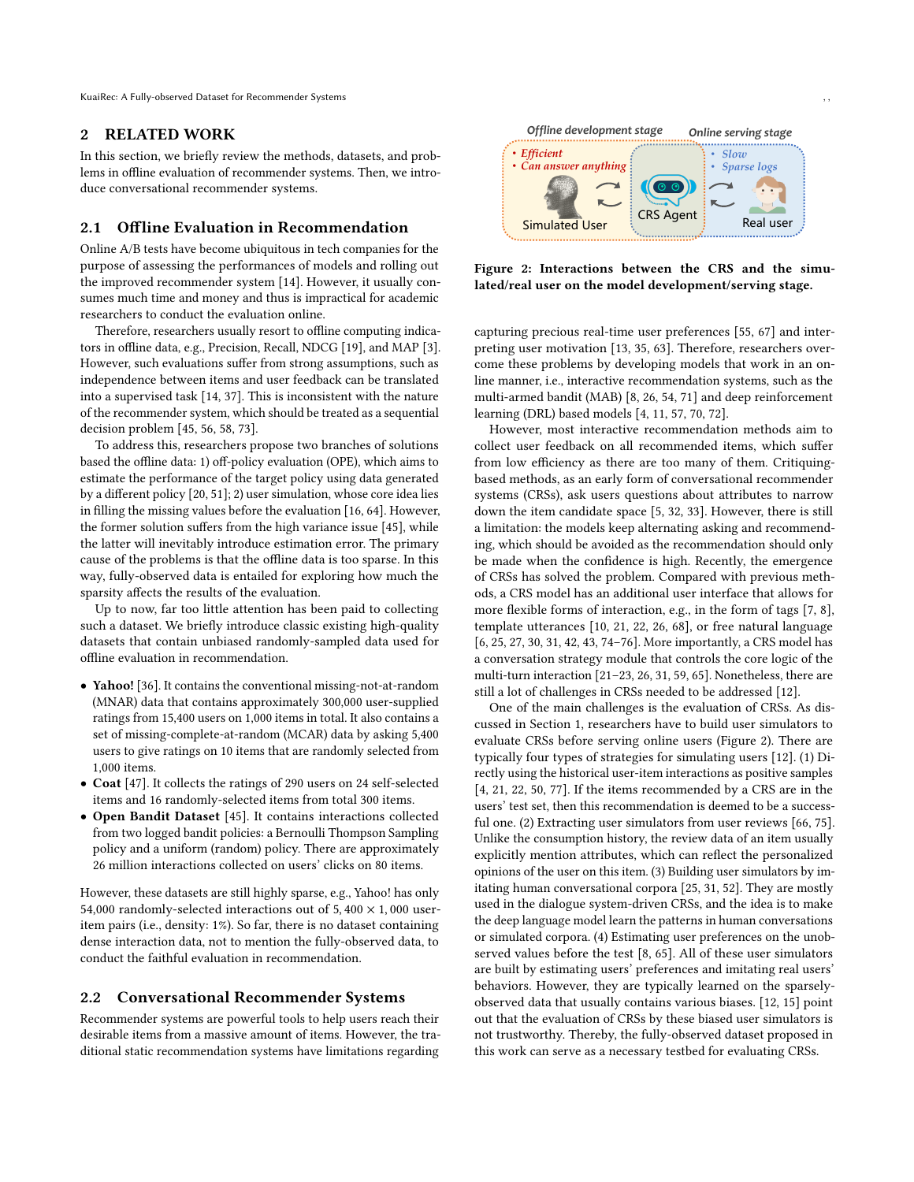KuaiRec: A Fully-observed Dataset for Recommender Systems

#### 2 RELATED WORK

In this section, we briefly review the methods, datasets, and problems in offline evaluation of recommender systems. Then, we introduce conversational recommender systems.

#### 2.1 Offline Evaluation in Recommendation

Online A/B tests have become ubiquitous in tech companies for the purpose of assessing the performances of models and rolling out the improved recommender system [\[14\]](#page-9-12). However, it usually consumes much time and money and thus is impractical for academic researchers to conduct the evaluation online.

Therefore, researchers usually resort to offline computing indicators in offline data, e.g., Precision, Recall, NDCG [\[19\]](#page-9-13), and MAP [\[3\]](#page-9-14). However, such evaluations suffer from strong assumptions, such as independence between items and user feedback can be translated into a supervised task [\[14,](#page-9-12) [37\]](#page-9-15). This is inconsistent with the nature of the recommender system, which should be treated as a sequential decision problem [\[45,](#page-9-7) [56,](#page-10-2) [58,](#page-10-3) [73\]](#page-10-4).

To address this, researchers propose two branches of solutions based the offline data: 1) off-policy evaluation (OPE), which aims to estimate the performance of the target policy using data generated by a different policy [\[20,](#page-9-16) [51\]](#page-10-5); 2) user simulation, whose core idea lies in filling the missing values before the evaluation [\[16,](#page-9-17) [64\]](#page-10-1). However, the former solution suffers from the high variance issue [\[45\]](#page-9-7), while the latter will inevitably introduce estimation error. The primary cause of the problems is that the offline data is too sparse. In this way, fully-observed data is entailed for exploring how much the sparsity affects the results of the evaluation.

Up to now, far too little attention has been paid to collecting such a dataset. We briefly introduce classic existing high-quality datasets that contain unbiased randomly-sampled data used for offline evaluation in recommendation.

- Yahoo! [\[36\]](#page-9-0). It contains the conventional missing-not-at-random (MNAR) data that contains approximately 300,000 user-supplied ratings from 15,400 users on 1,000 items in total. It also contains a set of missing-complete-at-random (MCAR) data by asking 5,400 users to give ratings on 10 items that are randomly selected from 1,000 items.
- Coat [\[47\]](#page-9-1). It collects the ratings of 290 users on 24 self-selected items and 16 randomly-selected items from total 300 items.
- Open Bandit Dataset [\[45\]](#page-9-7). It contains interactions collected from two logged bandit policies: a Bernoulli Thompson Sampling policy and a uniform (random) policy. There are approximately 26 million interactions collected on users' clicks on 80 items.

However, these datasets are still highly sparse, e.g., Yahoo! has only 54,000 randomly-selected interactions out of 5,400  $\times$  1,000 useritem pairs (i.e., density: 1%). So far, there is no dataset containing dense interaction data, not to mention the fully-observed data, to conduct the faithful evaluation in recommendation.

#### 2.2 Conversational Recommender Systems

Recommender systems are powerful tools to help users reach their desirable items from a massive amount of items. However, the traditional static recommendation systems have limitations regarding

<span id="page-2-0"></span>

Figure 2: Interactions between the CRS and the simulated/real user on the model development/serving stage.

capturing precious real-time user preferences [\[55,](#page-10-6) [67\]](#page-10-7) and interpreting user motivation [\[13,](#page-9-18) [35,](#page-9-19) [63\]](#page-10-8). Therefore, researchers overcome these problems by developing models that work in an online manner, i.e., interactive recommendation systems, such as the multi-armed bandit (MAB) [\[8,](#page-9-20) [26,](#page-9-11) [54,](#page-10-9) [71\]](#page-10-10) and deep reinforcement learning (DRL) based models [\[4,](#page-9-21) [11,](#page-9-8) [57,](#page-10-11) [70,](#page-10-12) [72\]](#page-10-13).

However, most interactive recommendation methods aim to collect user feedback on all recommended items, which suffer from low efficiency as there are too many of them. Critiquingbased methods, as an early form of conversational recommender systems (CRSs), ask users questions about attributes to narrow down the item candidate space [\[5,](#page-9-22) [32,](#page-9-23) [33\]](#page-9-24). However, there is still a limitation: the models keep alternating asking and recommending, which should be avoided as the recommendation should only be made when the confidence is high. Recently, the emergence of CRSs has solved the problem. Compared with previous methods, a CRS model has an additional user interface that allows for more flexible forms of interaction, e.g., in the form of tags [\[7,](#page-9-25) [8\]](#page-9-20), template utterances [\[10,](#page-9-26) [21,](#page-9-27) [22,](#page-9-10) [26,](#page-9-11) [68\]](#page-10-14), or free natural language [\[6,](#page-9-28) [25,](#page-9-29) [27,](#page-9-30) [30,](#page-9-31) [31,](#page-9-32) [42,](#page-9-33) [43,](#page-9-34) [74](#page-10-15)[–76\]](#page-10-16). More importantly, a CRS model has a conversation strategy module that controls the core logic of the multi-turn interaction [\[21–](#page-9-27)[23,](#page-9-35) [26,](#page-9-11) [31,](#page-9-32) [59,](#page-10-17) [65\]](#page-10-18). Nonetheless, there are still a lot of challenges in CRSs needed to be addressed [\[12\]](#page-9-9).

One of the main challenges is the evaluation of CRSs. As discussed in Section [1,](#page-0-1) researchers have to build user simulators to evaluate CRSs before serving online users [\(Figure 2\)](#page-2-0). There are typically four types of strategies for simulating users [\[12\]](#page-9-9). (1) Directly using the historical user-item interactions as positive samples [\[4,](#page-9-21) [21,](#page-9-27) [22,](#page-9-10) [50,](#page-10-19) [77\]](#page-10-20). If the items recommended by a CRS are in the users' test set, then this recommendation is deemed to be a successful one. (2) Extracting user simulators from user reviews [\[66,](#page-10-21) [75\]](#page-10-22). Unlike the consumption history, the review data of an item usually explicitly mention attributes, which can reflect the personalized opinions of the user on this item. (3) Building user simulators by imitating human conversational corpora [\[25,](#page-9-29) [31,](#page-9-32) [52\]](#page-10-23). They are mostly used in the dialogue system-driven CRSs, and the idea is to make the deep language model learn the patterns in human conversations or simulated corpora. (4) Estimating user preferences on the unobserved values before the test [\[8,](#page-9-20) [65\]](#page-10-18). All of these user simulators are built by estimating users' preferences and imitating real users' behaviors. However, they are typically learned on the sparselyobserved data that usually contains various biases. [\[12,](#page-9-9) [15\]](#page-9-5) point out that the evaluation of CRSs by these biased user simulators is not trustworthy. Thereby, the fully-observed dataset proposed in this work can serve as a necessary testbed for evaluating CRSs.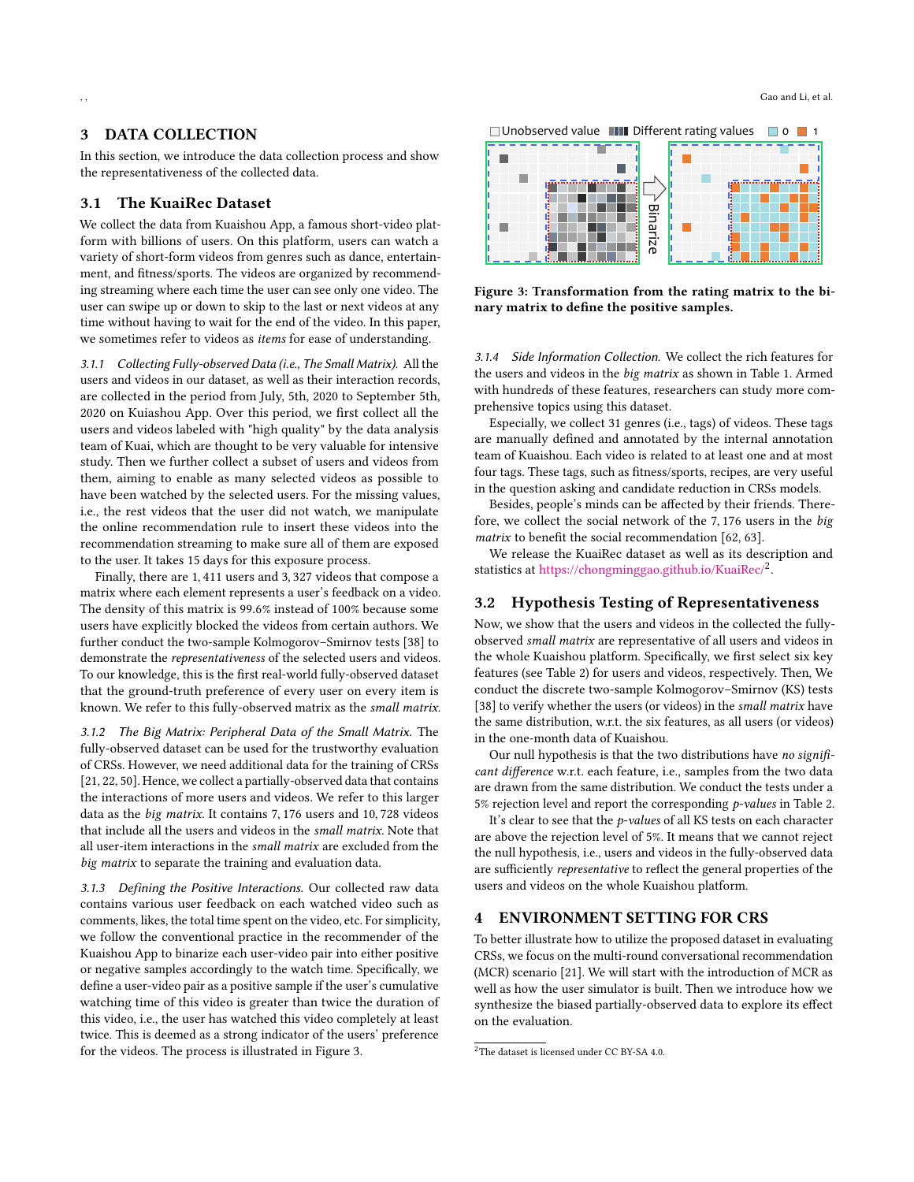# 3 DATA COLLECTION

In this section, we introduce the data collection process and show the representativeness of the collected data.

## 3.1 The KuaiRec Dataset

We collect the data from Kuaishou App, a famous short-video platform with billions of users. On this platform, users can watch a variety of short-form videos from genres such as dance, entertainment, and fitness/sports. The videos are organized by recommending streaming where each time the user can see only one video. The user can swipe up or down to skip to the last or next videos at any time without having to wait for the end of the video. In this paper, we sometimes refer to videos as items for ease of understanding.

3.1.1 Collecting Fully-observed Data (i.e., The Small Matrix). All the users and videos in our dataset, as well as their interaction records, are collected in the period from July, 5th, 2020 to September 5th, 2020 on Kuiashou App. Over this period, we first collect all the users and videos labeled with "high quality" by the data analysis team of Kuai, which are thought to be very valuable for intensive study. Then we further collect a subset of users and videos from them, aiming to enable as many selected videos as possible to have been watched by the selected users. For the missing values, i.e., the rest videos that the user did not watch, we manipulate the online recommendation rule to insert these videos into the recommendation streaming to make sure all of them are exposed to the user. It takes 15 days for this exposure process.

Finally, there are 1, 411 users and 3, 327 videos that compose a matrix where each element represents a user's feedback on a video. The density of this matrix is 99.6% instead of 100% because some users have explicitly blocked the videos from certain authors. We further conduct the two-sample Kolmogorov–Smirnov tests [\[38\]](#page-9-36) to demonstrate the representativeness of the selected users and videos. To our knowledge, this is the first real-world fully-observed dataset that the ground-truth preference of every user on every item is known. We refer to this fully-observed matrix as the small matrix.

3.1.2 The Big Matrix: Peripheral Data of the Small Matrix. The fully-observed dataset can be used for the trustworthy evaluation of CRSs. However, we need additional data for the training of CRSs [\[21,](#page-9-27) [22,](#page-9-10) [50\]](#page-10-19). Hence, we collect a partially-observed data that contains the interactions of more users and videos. We refer to this larger data as the big matrix. It contains 7, 176 users and 10, 728 videos that include all the users and videos in the small matrix. Note that all user-item interactions in the small matrix are excluded from the big matrix to separate the training and evaluation data.

3.1.3 Defining the Positive Interactions. Our collected raw data contains various user feedback on each watched video such as comments, likes, the total time spent on the video, etc. For simplicity, we follow the conventional practice in the recommender of the Kuaishou App to binarize each user-video pair into either positive or negative samples accordingly to the watch time. Specifically, we define a user-video pair as a positive sample if the user's cumulative watching time of this video is greater than twice the duration of this video, i.e., the user has watched this video completely at least twice. This is deemed as a strong indicator of the users' preference for the videos. The process is illustrated in [Figure 3.](#page-3-0)

<span id="page-3-0"></span>



Figure 3: Transformation from the rating matrix to the binary matrix to define the positive samples.

3.1.4 Side Information Collection. We collect the rich features for the users and videos in the big matrix as shown in [Table 1.](#page-1-1) Armed with hundreds of these features, researchers can study more comprehensive topics using this dataset.

Especially, we collect 31 genres (i.e., tags) of videos. These tags are manually defined and annotated by the internal annotation team of Kuaishou. Each video is related to at least one and at most four tags. These tags, such as fitness/sports, recipes, are very useful in the question asking and candidate reduction in CRSs models.

Besides, people's minds can be affected by their friends. Therefore, we collect the social network of the 7, 176 users in the big matrix to benefit the social recommendation [\[62,](#page-10-24) [63\]](#page-10-8).

We release the KuaiRec dataset as well as its description and statistics at <https://chongminggao.github.io/KuaiRec/><sup>[2](#page-3-1)</sup>.

# 3.2 Hypothesis Testing of Representativeness

Now, we show that the users and videos in the collected the fullyobserved small matrix are representative of all users and videos in the whole Kuaishou platform. Specifically, we first select six key features (see [Table 2\)](#page-4-0) for users and videos, respectively. Then, We conduct the discrete two-sample Kolmogorov–Smirnov (KS) tests [\[38\]](#page-9-36) to verify whether the users (or videos) in the small matrix have the same distribution, w.r.t. the six features, as all users (or videos) in the one-month data of Kuaishou.

Our null hypothesis is that the two distributions have no significant difference w.r.t. each feature, i.e., samples from the two data are drawn from the same distribution. We conduct the tests under a 5% rejection level and report the corresponding  $p$ -values in [Table 2.](#page-4-0)

It's clear to see that the *p*-values of all KS tests on each character are above the rejection level of 5%. It means that we cannot reject the null hypothesis, i.e., users and videos in the fully-observed data are sufficiently representative to reflect the general properties of the users and videos on the whole Kuaishou platform.

# 4 ENVIRONMENT SETTING FOR CRS

To better illustrate how to utilize the proposed dataset in evaluating CRSs, we focus on the multi-round conversational recommendation (MCR) scenario [\[21\]](#page-9-27). We will start with the introduction of MCR as well as how the user simulator is built. Then we introduce how we synthesize the biased partially-observed data to explore its effect on the evaluation.

<span id="page-3-1"></span><sup>&</sup>lt;sup>2</sup>The dataset is licensed under CC BY-SA 4.0.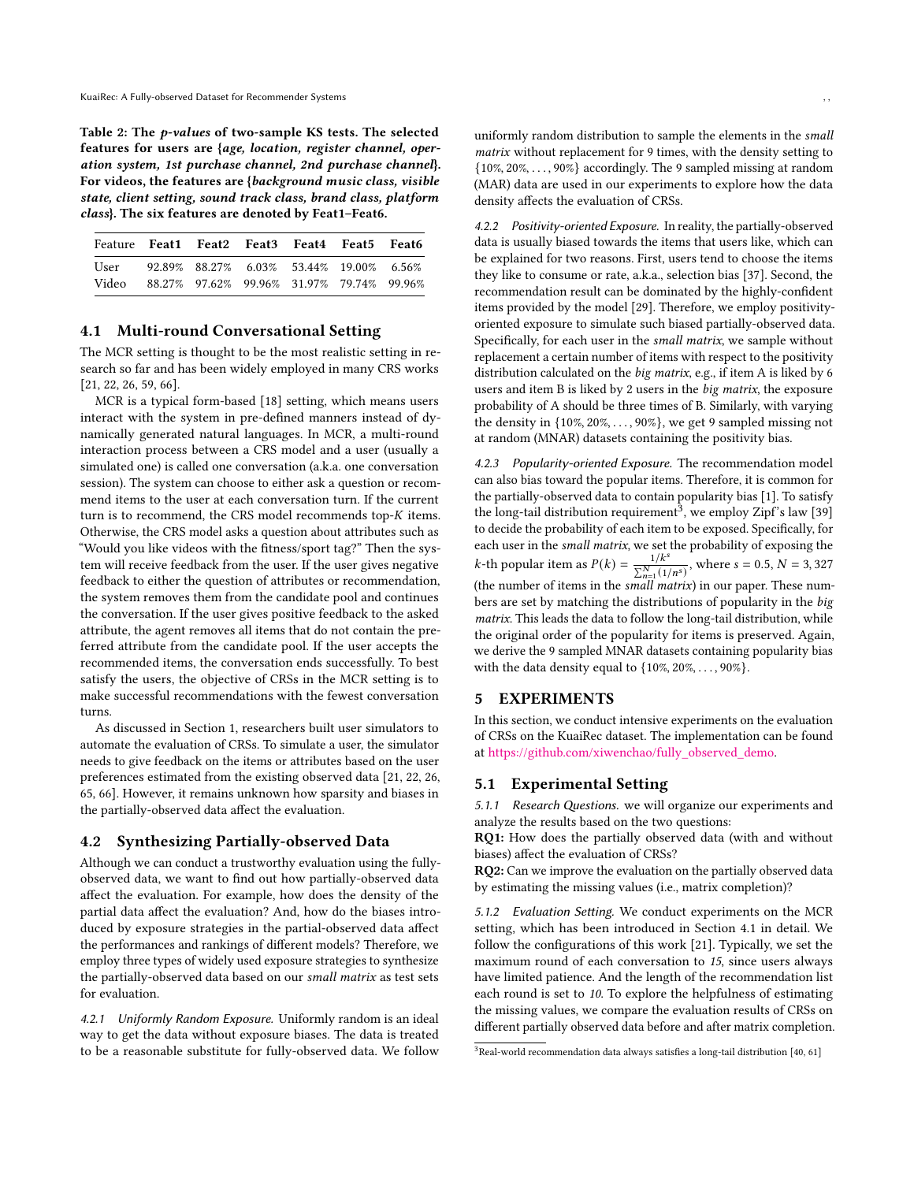<span id="page-4-0"></span>Table 2: The p-values of two-sample KS tests. The selected features for users are {age, location, register channel, operation system, 1st purchase channel, 2nd purchase channel}. For videos, the features are {background music class, visible state, client setting, sound track class, brand class, platform class}. The six features are denoted by Feat1–Feat6.

| Feature Feat1 Feat2 Feat3 Feat4 Feat5 Feat6     |                                                           |  |  |  |
|-------------------------------------------------|-----------------------------------------------------------|--|--|--|
| User                                            | $92.89\%$ $88.27\%$ $6.03\%$ $53.44\%$ $19.00\%$ $6.56\%$ |  |  |  |
| Video 88.27% 97.62% 99.96% 31.97% 79.74% 99.96% |                                                           |  |  |  |

# <span id="page-4-2"></span>4.1 Multi-round Conversational Setting

The MCR setting is thought to be the most realistic setting in research so far and has been widely employed in many CRS works [\[21,](#page-9-27) [22,](#page-9-10) [26,](#page-9-11) [59,](#page-10-17) [66\]](#page-10-21).

MCR is a typical form-based [\[18\]](#page-9-37) setting, which means users interact with the system in pre-defined manners instead of dynamically generated natural languages. In MCR, a multi-round interaction process between a CRS model and a user (usually a simulated one) is called one conversation (a.k.a. one conversation session). The system can choose to either ask a question or recommend items to the user at each conversation turn. If the current turn is to recommend, the CRS model recommends top- $K$  items. Otherwise, the CRS model asks a question about attributes such as "Would you like videos with the fitness/sport tag?" Then the system will receive feedback from the user. If the user gives negative feedback to either the question of attributes or recommendation, the system removes them from the candidate pool and continues the conversation. If the user gives positive feedback to the asked attribute, the agent removes all items that do not contain the preferred attribute from the candidate pool. If the user accepts the recommended items, the conversation ends successfully. To best satisfy the users, the objective of CRSs in the MCR setting is to make successful recommendations with the fewest conversation turns.

As discussed in [Section 1,](#page-0-1) researchers built user simulators to automate the evaluation of CRSs. To simulate a user, the simulator needs to give feedback on the items or attributes based on the user preferences estimated from the existing observed data [\[21,](#page-9-27) [22,](#page-9-10) [26,](#page-9-11) [65,](#page-10-18) [66\]](#page-10-21). However, it remains unknown how sparsity and biases in the partially-observed data affect the evaluation.

#### <span id="page-4-3"></span>4.2 Synthesizing Partially-observed Data

Although we can conduct a trustworthy evaluation using the fullyobserved data, we want to find out how partially-observed data affect the evaluation. For example, how does the density of the partial data affect the evaluation? And, how do the biases introduced by exposure strategies in the partial-observed data affect the performances and rankings of different models? Therefore, we employ three types of widely used exposure strategies to synthesize the partially-observed data based on our small matrix as test sets for evaluation.

4.2.1 Uniformly Random Exposure. Uniformly random is an ideal way to get the data without exposure biases. The data is treated to be a reasonable substitute for fully-observed data. We follow uniformly random distribution to sample the elements in the small matrix without replacement for 9 times, with the density setting to {10%, 20%, . . . , 90%} accordingly. The 9 sampled missing at random (MAR) data are used in our experiments to explore how the data density affects the evaluation of CRSs.

4.2.2 Positivity-oriented Exposure. In reality, the partially-observed data is usually biased towards the items that users like, which can be explained for two reasons. First, users tend to choose the items they like to consume or rate, a.k.a., selection bias [\[37\]](#page-9-15). Second, the recommendation result can be dominated by the highly-confident items provided by the model [\[29\]](#page-9-38). Therefore, we employ positivityoriented exposure to simulate such biased partially-observed data. Specifically, for each user in the small matrix, we sample without replacement a certain number of items with respect to the positivity distribution calculated on the big matrix, e.g., if item A is liked by 6 users and item B is liked by 2 users in the big matrix, the exposure probability of A should be three times of B. Similarly, with varying the density in {10%, 20%, . . . , 90%}, we get 9 sampled missing not at random (MNAR) datasets containing the positivity bias.

<span id="page-4-4"></span>4.2.3 Popularity-oriented Exposure. The recommendation model can also bias toward the popular items. Therefore, it is common for the partially-observed data to contain popularity bias [\[1\]](#page-9-4). To satisfy the long-tail distribution requirement<sup>[3](#page-4-1)</sup>, we employ Zipf's law  $[39]$ to decide the probability of each item to be exposed. Specifically, for each user in the small matrix, we set the probability of exposing the k-th popular item as  $P(k) = \frac{1/k^s}{\sum_{k=1}^{N} n^s}$  $\frac{1/k^s}{\sum_{n=1}^{N} (1/n^s)}$ , where  $s = 0.5$ ,  $N = 3,327$ (the number of items in the small matrix) in our paper. These numbers are set by matching the distributions of popularity in the big matrix. This leads the data to follow the long-tail distribution, while the original order of the popularity for items is preserved. Again, we derive the 9 sampled MNAR datasets containing popularity bias with the data density equal to  $\{10\%, 20\%, \ldots, 90\%\}.$ 

#### 5 EXPERIMENTS

In this section, we conduct intensive experiments on the evaluation of CRSs on the KuaiRec dataset. The implementation can be found at [https://github.com/xiwenchao/fully\\_observed\\_demo.](https://github.com/xiwenchao/fully_observed_demo)

## 5.1 Experimental Setting

5.1.1 Research Questions. we will organize our experiments and analyze the results based on the two questions:

RQ1: How does the partially observed data (with and without biases) affect the evaluation of CRSs?

RQ2: Can we improve the evaluation on the partially observed data by estimating the missing values (i.e., matrix completion)?

5.1.2 Evaluation Setting. We conduct experiments on the MCR setting, which has been introduced in [Section 4.1](#page-4-2) in detail. We follow the configurations of this work [\[21\]](#page-9-27). Typically, we set the maximum round of each conversation to 15, since users always have limited patience. And the length of the recommendation list each round is set to 10. To explore the helpfulness of estimating the missing values, we compare the evaluation results of CRSs on different partially observed data before and after matrix completion.

<span id="page-4-1"></span> $3$ Real-world recommendation data always satisfies a long-tail distribution [\[40,](#page-9-40) [61\]](#page-10-25)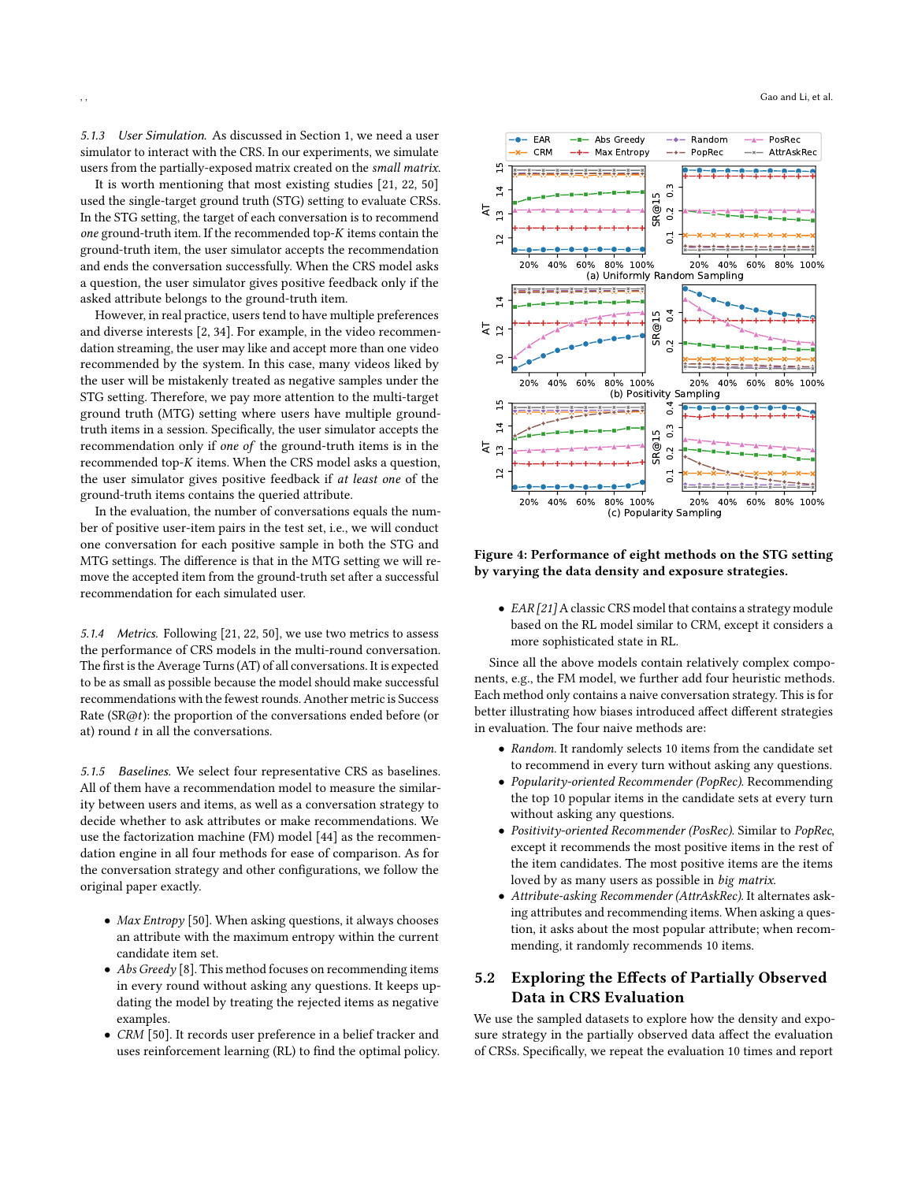<span id="page-5-1"></span>5.1.3 User Simulation. As discussed in [Section 1,](#page-0-1) we need a user simulator to interact with the CRS. In our experiments, we simulate users from the partially-exposed matrix created on the small matrix.

It is worth mentioning that most existing studies [\[21,](#page-9-27) [22,](#page-9-10) [50\]](#page-10-19) used the single-target ground truth (STG) setting to evaluate CRSs. In the STG setting, the target of each conversation is to recommend one ground-truth item. If the recommended top- $K$  items contain the ground-truth item, the user simulator accepts the recommendation and ends the conversation successfully. When the CRS model asks a question, the user simulator gives positive feedback only if the asked attribute belongs to the ground-truth item.

However, in real practice, users tend to have multiple preferences and diverse interests [\[2,](#page-9-41) [34\]](#page-9-42). For example, in the video recommendation streaming, the user may like and accept more than one video recommended by the system. In this case, many videos liked by the user will be mistakenly treated as negative samples under the STG setting. Therefore, we pay more attention to the multi-target ground truth (MTG) setting where users have multiple groundtruth items in a session. Specifically, the user simulator accepts the recommendation only if one of the ground-truth items is in the recommended top- $K$  items. When the CRS model asks a question, the user simulator gives positive feedback if at least one of the ground-truth items contains the queried attribute.

In the evaluation, the number of conversations equals the number of positive user-item pairs in the test set, i.e., we will conduct one conversation for each positive sample in both the STG and MTG settings. The difference is that in the MTG setting we will remove the accepted item from the ground-truth set after a successful recommendation for each simulated user.

5.1.4 Metrics. Following [\[21,](#page-9-27) [22,](#page-9-10) [50\]](#page-10-19), we use two metrics to assess the performance of CRS models in the multi-round conversation. The first is the Average Turns (AT) of all conversations. It is expected to be as small as possible because the model should make successful recommendations with the fewest rounds. Another metric is Success Rate (SR@t): the proportion of the conversations ended before (or at) round  $t$  in all the conversations.

5.1.5 Baselines. We select four representative CRS as baselines. All of them have a recommendation model to measure the similarity between users and items, as well as a conversation strategy to decide whether to ask attributes or make recommendations. We use the factorization machine (FM) model [\[44\]](#page-9-43) as the recommendation engine in all four methods for ease of comparison. As for the conversation strategy and other configurations, we follow the original paper exactly.

- Max Entropy [\[50\]](#page-10-19). When asking questions, it always chooses an attribute with the maximum entropy within the current candidate item set.
- Abs Greedy [\[8\]](#page-9-20). This method focuses on recommending items in every round without asking any questions. It keeps updating the model by treating the rejected items as negative examples.
- CRM [\[50\]](#page-10-19). It records user preference in a belief tracker and uses reinforcement learning (RL) to find the optimal policy.

<span id="page-5-0"></span>

Figure 4: Performance of eight methods on the STG setting by varying the data density and exposure strategies.

• EAR [\[21\]](#page-9-27) A classic CRS model that contains a strategy module based on the RL model similar to CRM, except it considers a more sophisticated state in RL.

Since all the above models contain relatively complex components, e.g., the FM model, we further add four heuristic methods. Each method only contains a naive conversation strategy. This is for better illustrating how biases introduced affect different strategies in evaluation. The four naive methods are:

- Random. It randomly selects 10 items from the candidate set to recommend in every turn without asking any questions.
- Popularity-oriented Recommender (PopRec). Recommending the top 10 popular items in the candidate sets at every turn without asking any questions.
- Positivity-oriented Recommender (PosRec). Similar to PopRec, except it recommends the most positive items in the rest of the item candidates. The most positive items are the items loved by as many users as possible in big matrix.
- Attribute-asking Recommender (AttrAskRec). It alternates asking attributes and recommending items. When asking a question, it asks about the most popular attribute; when recommending, it randomly recommends 10 items.

# 5.2 Exploring the Effects of Partially Observed Data in CRS Evaluation

We use the sampled datasets to explore how the density and exposure strategy in the partially observed data affect the evaluation of CRSs. Specifically, we repeat the evaluation 10 times and report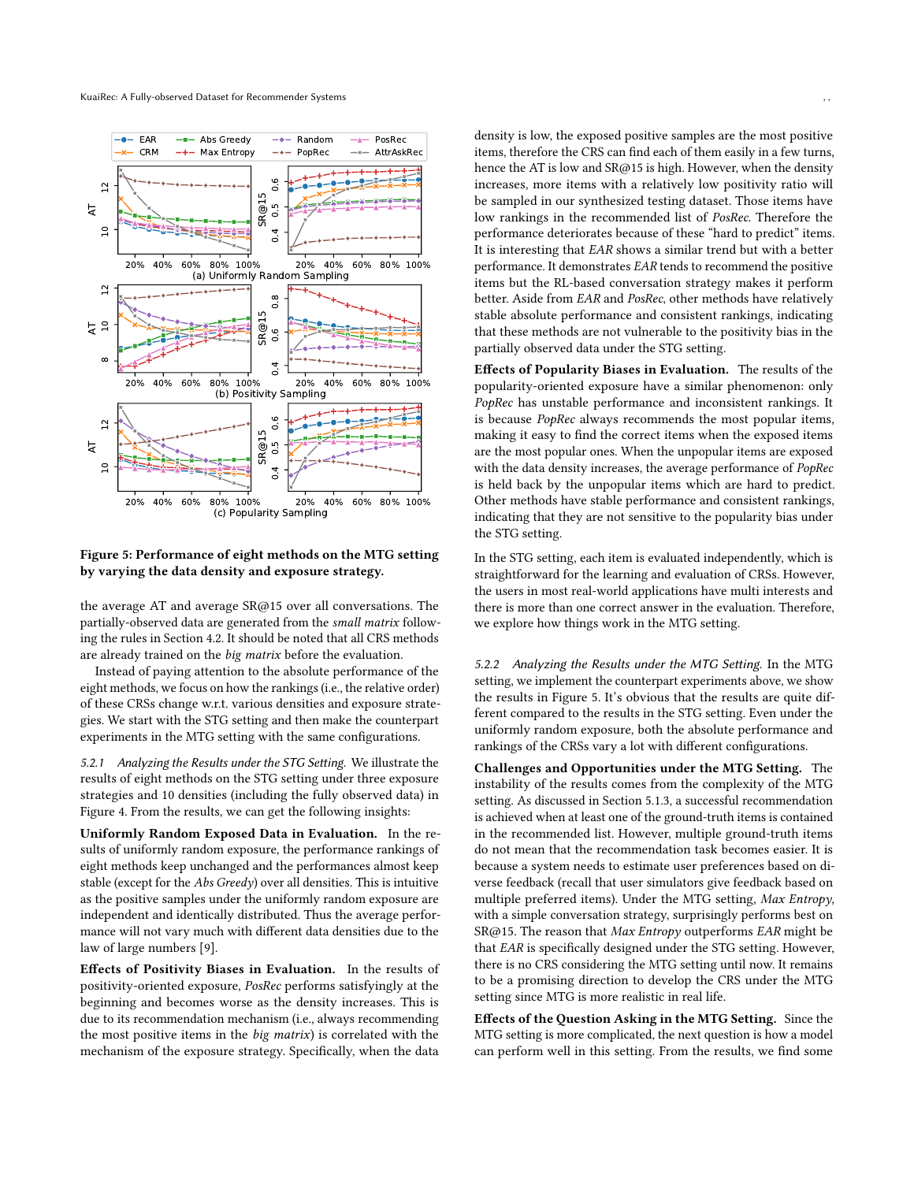<span id="page-6-0"></span>

#### Figure 5: Performance of eight methods on the MTG setting by varying the data density and exposure strategy.

the average AT and average SR@15 over all conversations. The partially-observed data are generated from the small matrix following the rules in [Section 4.2.](#page-4-3) It should be noted that all CRS methods are already trained on the big matrix before the evaluation.

Instead of paying attention to the absolute performance of the eight methods, we focus on how the rankings (i.e., the relative order) of these CRSs change w.r.t. various densities and exposure strategies. We start with the STG setting and then make the counterpart experiments in the MTG setting with the same configurations.

5.2.1 Analyzing the Results under the STG Setting. We illustrate the results of eight methods on the STG setting under three exposure strategies and 10 densities (including the fully observed data) in [Figure 4.](#page-5-0) From the results, we can get the following insights:

Uniformly Random Exposed Data in Evaluation. In the results of uniformly random exposure, the performance rankings of eight methods keep unchanged and the performances almost keep stable (except for the Abs Greedy) over all densities. This is intuitive as the positive samples under the uniformly random exposure are independent and identically distributed. Thus the average performance will not vary much with different data densities due to the law of large numbers [\[9\]](#page-9-44).

Effects of Positivity Biases in Evaluation. In the results of positivity-oriented exposure, PosRec performs satisfyingly at the beginning and becomes worse as the density increases. This is due to its recommendation mechanism (i.e., always recommending the most positive items in the big matrix) is correlated with the mechanism of the exposure strategy. Specifically, when the data

density is low, the exposed positive samples are the most positive items, therefore the CRS can find each of them easily in a few turns, hence the AT is low and SR@15 is high. However, when the density increases, more items with a relatively low positivity ratio will be sampled in our synthesized testing dataset. Those items have low rankings in the recommended list of PosRec. Therefore the performance deteriorates because of these "hard to predict" items. It is interesting that EAR shows a similar trend but with a better performance. It demonstrates EAR tends to recommend the positive items but the RL-based conversation strategy makes it perform better. Aside from EAR and PosRec, other methods have relatively stable absolute performance and consistent rankings, indicating that these methods are not vulnerable to the positivity bias in the partially observed data under the STG setting.

Effects of Popularity Biases in Evaluation. The results of the popularity-oriented exposure have a similar phenomenon: only PopRec has unstable performance and inconsistent rankings. It is because PopRec always recommends the most popular items, making it easy to find the correct items when the exposed items are the most popular ones. When the unpopular items are exposed with the data density increases, the average performance of PopRec is held back by the unpopular items which are hard to predict. Other methods have stable performance and consistent rankings, indicating that they are not sensitive to the popularity bias under the STG setting.

In the STG setting, each item is evaluated independently, which is straightforward for the learning and evaluation of CRSs. However, the users in most real-world applications have multi interests and there is more than one correct answer in the evaluation. Therefore, we explore how things work in the MTG setting.

5.2.2 Analyzing the Results under the MTG Setting. In the MTG setting, we implement the counterpart experiments above, we show the results in [Figure 5.](#page-6-0) It's obvious that the results are quite different compared to the results in the STG setting. Even under the uniformly random exposure, both the absolute performance and rankings of the CRSs vary a lot with different configurations.

Challenges and Opportunities under the MTG Setting. The instability of the results comes from the complexity of the MTG setting. As discussed in [Section 5.1.3,](#page-5-1) a successful recommendation is achieved when at least one of the ground-truth items is contained in the recommended list. However, multiple ground-truth items do not mean that the recommendation task becomes easier. It is because a system needs to estimate user preferences based on diverse feedback (recall that user simulators give feedback based on multiple preferred items). Under the MTG setting, Max Entropy, with a simple conversation strategy, surprisingly performs best on SR@15. The reason that Max Entropy outperforms EAR might be that EAR is specifically designed under the STG setting. However, there is no CRS considering the MTG setting until now. It remains to be a promising direction to develop the CRS under the MTG setting since MTG is more realistic in real life.

Effects of the Question Asking in the MTG Setting. Since the MTG setting is more complicated, the next question is how a model can perform well in this setting. From the results, we find some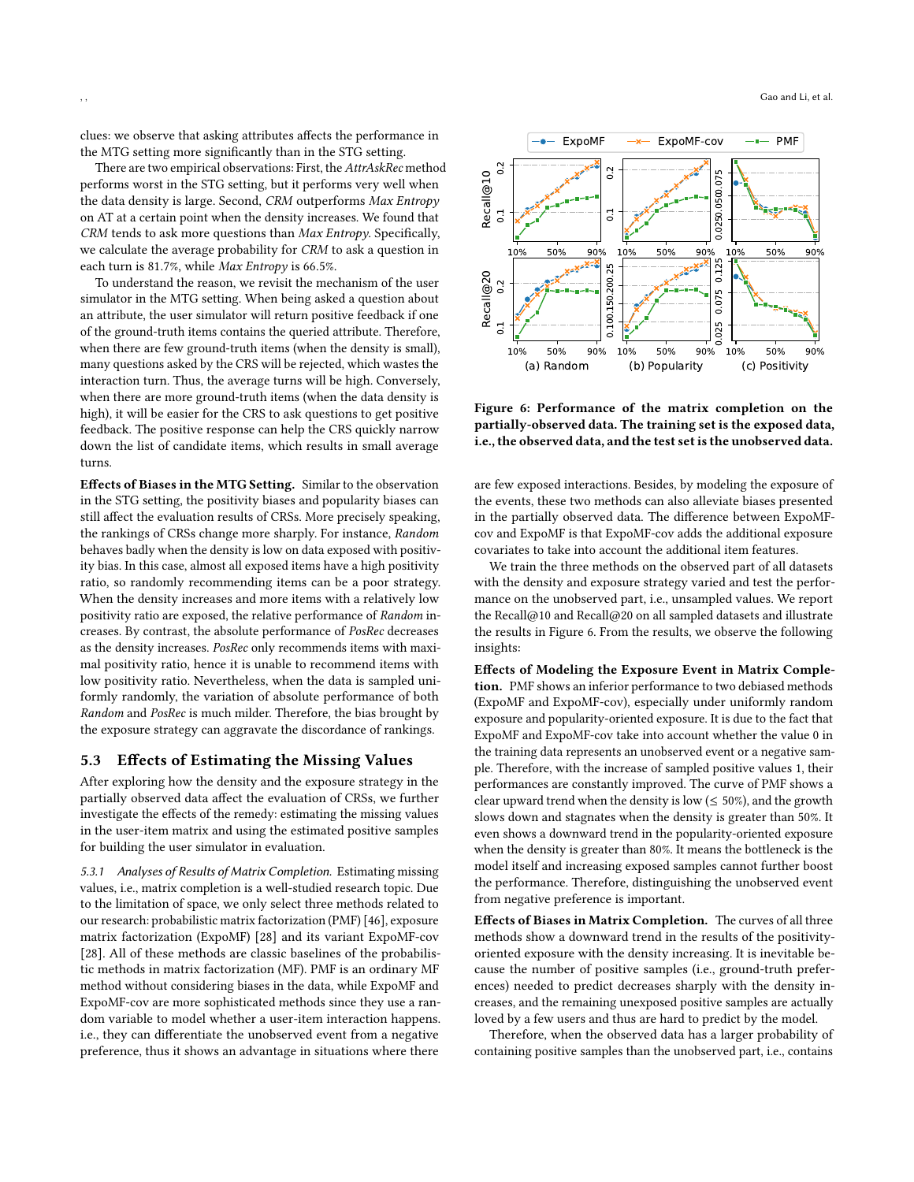clues: we observe that asking attributes affects the performance in the MTG setting more significantly than in the STG setting.

There are two empirical observations: First, the AttrAskRec method performs worst in the STG setting, but it performs very well when the data density is large. Second, CRM outperforms Max Entropy on AT at a certain point when the density increases. We found that CRM tends to ask more questions than Max Entropy. Specifically, we calculate the average probability for CRM to ask a question in each turn is 81.7%, while Max Entropy is 66.5%.

To understand the reason, we revisit the mechanism of the user simulator in the MTG setting. When being asked a question about an attribute, the user simulator will return positive feedback if one of the ground-truth items contains the queried attribute. Therefore, when there are few ground-truth items (when the density is small), many questions asked by the CRS will be rejected, which wastes the interaction turn. Thus, the average turns will be high. Conversely, when there are more ground-truth items (when the data density is high), it will be easier for the CRS to ask questions to get positive feedback. The positive response can help the CRS quickly narrow down the list of candidate items, which results in small average turns.

Effects of Biases in the MTG Setting. Similar to the observation in the STG setting, the positivity biases and popularity biases can still affect the evaluation results of CRSs. More precisely speaking, the rankings of CRSs change more sharply. For instance, Random behaves badly when the density is low on data exposed with positivity bias. In this case, almost all exposed items have a high positivity ratio, so randomly recommending items can be a poor strategy. When the density increases and more items with a relatively low positivity ratio are exposed, the relative performance of Random increases. By contrast, the absolute performance of PosRec decreases as the density increases. PosRec only recommends items with maximal positivity ratio, hence it is unable to recommend items with low positivity ratio. Nevertheless, when the data is sampled uniformly randomly, the variation of absolute performance of both Random and PosRec is much milder. Therefore, the bias brought by the exposure strategy can aggravate the discordance of rankings.

#### 5.3 Effects of Estimating the Missing Values

After exploring how the density and the exposure strategy in the partially observed data affect the evaluation of CRSs, we further investigate the effects of the remedy: estimating the missing values in the user-item matrix and using the estimated positive samples for building the user simulator in evaluation.

5.3.1 Analyses of Results of Matrix Completion. Estimating missing values, i.e., matrix completion is a well-studied research topic. Due to the limitation of space, we only select three methods related to our research: probabilistic matrix factorization (PMF) [\[46\]](#page-9-45), exposure matrix factorization (ExpoMF) [\[28\]](#page-9-46) and its variant ExpoMF-cov [\[28\]](#page-9-46). All of these methods are classic baselines of the probabilistic methods in matrix factorization (MF). PMF is an ordinary MF method without considering biases in the data, while ExpoMF and ExpoMF-cov are more sophisticated methods since they use a random variable to model whether a user-item interaction happens. i.e., they can differentiate the unobserved event from a negative preference, thus it shows an advantage in situations where there

<span id="page-7-0"></span>

Figure 6: Performance of the matrix completion on the partially-observed data. The training set is the exposed data, i.e., the observed data, and the test set is the unobserved data.

are few exposed interactions. Besides, by modeling the exposure of the events, these two methods can also alleviate biases presented in the partially observed data. The difference between ExpoMFcov and ExpoMF is that ExpoMF-cov adds the additional exposure covariates to take into account the additional item features.

We train the three methods on the observed part of all datasets with the density and exposure strategy varied and test the performance on the unobserved part, i.e., unsampled values. We report the Recall@10 and Recall@20 on all sampled datasets and illustrate the results in [Figure 6.](#page-7-0) From the results, we observe the following insights:

Effects of Modeling the Exposure Event in Matrix Completion. PMF shows an inferior performance to two debiased methods (ExpoMF and ExpoMF-cov), especially under uniformly random exposure and popularity-oriented exposure. It is due to the fact that ExpoMF and ExpoMF-cov take into account whether the value 0 in the training data represents an unobserved event or a negative sample. Therefore, with the increase of sampled positive values 1, their performances are constantly improved. The curve of PMF shows a clear upward trend when the density is low ( $\leq 50\%$ ), and the growth slows down and stagnates when the density is greater than 50%. It even shows a downward trend in the popularity-oriented exposure when the density is greater than 80%. It means the bottleneck is the model itself and increasing exposed samples cannot further boost the performance. Therefore, distinguishing the unobserved event from negative preference is important.

Effects of Biases in Matrix Completion. The curves of all three methods show a downward trend in the results of the positivityoriented exposure with the density increasing. It is inevitable because the number of positive samples (i.e., ground-truth preferences) needed to predict decreases sharply with the density increases, and the remaining unexposed positive samples are actually loved by a few users and thus are hard to predict by the model.

Therefore, when the observed data has a larger probability of containing positive samples than the unobserved part, i.e., contains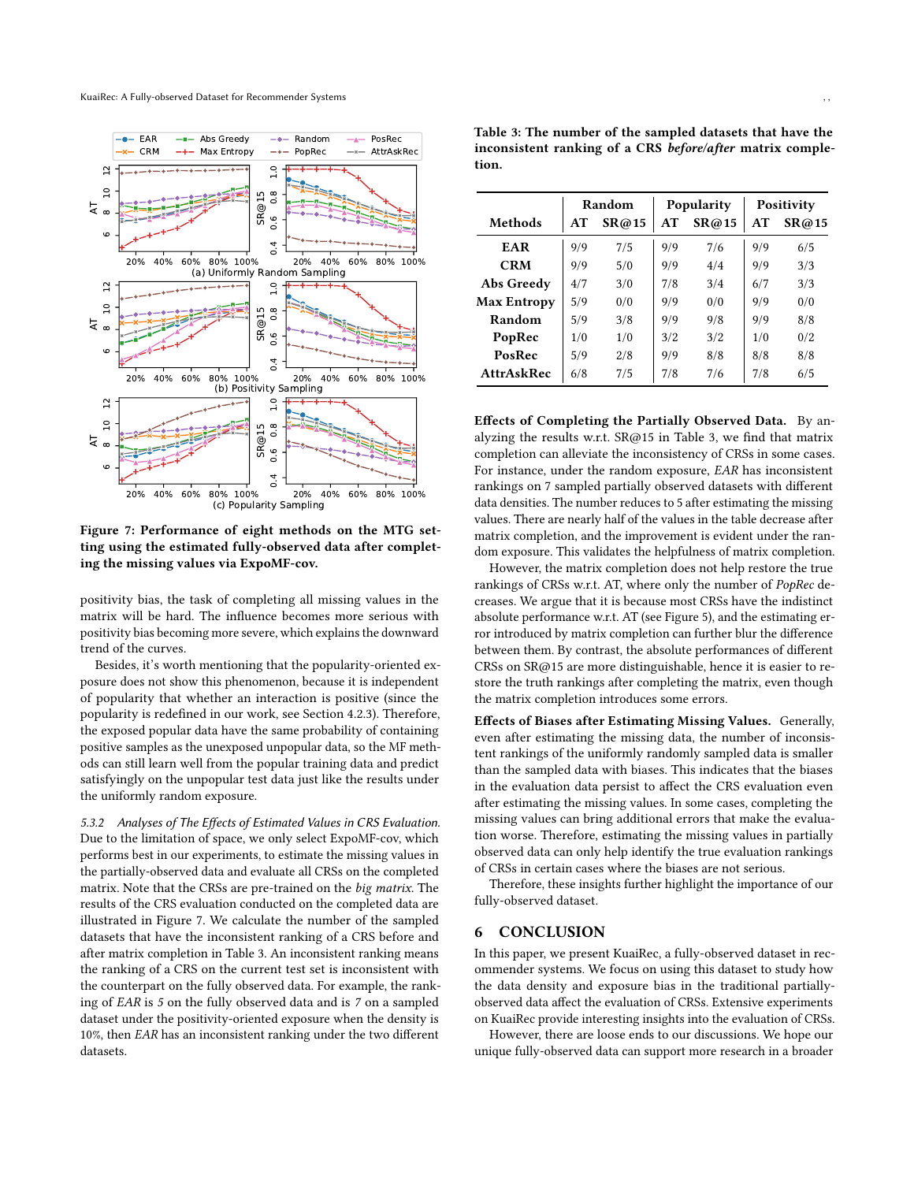<span id="page-8-0"></span>

Figure 7: Performance of eight methods on the MTG setting using the estimated fully-observed data after completing the missing values via ExpoMF-cov.

positivity bias, the task of completing all missing values in the matrix will be hard. The influence becomes more serious with positivity bias becoming more severe, which explains the downward trend of the curves.

Besides, it's worth mentioning that the popularity-oriented exposure does not show this phenomenon, because it is independent of popularity that whether an interaction is positive (since the popularity is redefined in our work, see [Section 4.2.3\)](#page-4-4). Therefore, the exposed popular data have the same probability of containing positive samples as the unexposed unpopular data, so the MF methods can still learn well from the popular training data and predict satisfyingly on the unpopular test data just like the results under the uniformly random exposure.

5.3.2 Analyses of The Effects of Estimated Values in CRS Evaluation. Due to the limitation of space, we only select ExpoMF-cov, which performs best in our experiments, to estimate the missing values in the partially-observed data and evaluate all CRSs on the completed matrix. Note that the CRSs are pre-trained on the big matrix. The results of the CRS evaluation conducted on the completed data are illustrated in [Figure 7.](#page-8-0) We calculate the number of the sampled datasets that have the inconsistent ranking of a CRS before and after matrix completion in [Table 3.](#page-8-1) An inconsistent ranking means the ranking of a CRS on the current test set is inconsistent with the counterpart on the fully observed data. For example, the ranking of EAR is 5 on the fully observed data and is 7 on a sampled dataset under the positivity-oriented exposure when the density is 10%, then EAR has an inconsistent ranking under the two different datasets.

<span id="page-8-1"></span>Table 3: The number of the sampled datasets that have the inconsistent ranking of a CRS before/after matrix completion.

|                    | Random |       | Popularity |       | Positivity |       |
|--------------------|--------|-------|------------|-------|------------|-------|
| Methods            | AT     | SR@15 | AT         | SR@15 | AT         | SR@15 |
| EAR                | 9/9    | 7/5   | 9/9        | 7/6   | 9/9        | 6/5   |
| <b>CRM</b>         | 9/9    | 5/0   | 9/9        | 4/4   | 9/9        | 3/3   |
| Abs Greedy         | 4/7    | 3/0   | 7/8        | 3/4   | 6/7        | 3/3   |
| <b>Max Entropy</b> | 5/9    | 0/0   | 9/9        | 0/0   | 9/9        | 0/0   |
| Random             | 5/9    | 3/8   | 9/9        | 9/8   | 9/9        | 8/8   |
| PopRec             | 1/0    | 1/0   | 3/2        | 3/2   | 1/0        | 0/2   |
| PosRec             | 5/9    | 2/8   | 9/9        | 8/8   | 8/8        | 8/8   |
| <b>AttrAskRec</b>  | 6/8    | 7/5   | 7/8        | 7/6   | 7/8        | 6/5   |

Effects of Completing the Partially Observed Data. By analyzing the results w.r.t. SR@15 in [Table 3,](#page-8-1) we find that matrix completion can alleviate the inconsistency of CRSs in some cases. For instance, under the random exposure, EAR has inconsistent rankings on 7 sampled partially observed datasets with different data densities. The number reduces to 5 after estimating the missing values. There are nearly half of the values in the table decrease after matrix completion, and the improvement is evident under the random exposure. This validates the helpfulness of matrix completion.

However, the matrix completion does not help restore the true rankings of CRSs w.r.t. AT, where only the number of PopRec decreases. We argue that it is because most CRSs have the indistinct absolute performance w.r.t. AT (see [Figure 5\)](#page-6-0), and the estimating error introduced by matrix completion can further blur the difference between them. By contrast, the absolute performances of different CRSs on SR@15 are more distinguishable, hence it is easier to restore the truth rankings after completing the matrix, even though the matrix completion introduces some errors.

Effects of Biases after Estimating Missing Values. Generally, even after estimating the missing data, the number of inconsistent rankings of the uniformly randomly sampled data is smaller than the sampled data with biases. This indicates that the biases in the evaluation data persist to affect the CRS evaluation even after estimating the missing values. In some cases, completing the missing values can bring additional errors that make the evaluation worse. Therefore, estimating the missing values in partially observed data can only help identify the true evaluation rankings of CRSs in certain cases where the biases are not serious.

Therefore, these insights further highlight the importance of our fully-observed dataset.

#### 6 CONCLUSION

In this paper, we present KuaiRec, a fully-observed dataset in recommender systems. We focus on using this dataset to study how the data density and exposure bias in the traditional partiallyobserved data affect the evaluation of CRSs. Extensive experiments on KuaiRec provide interesting insights into the evaluation of CRSs.

However, there are loose ends to our discussions. We hope our unique fully-observed data can support more research in a broader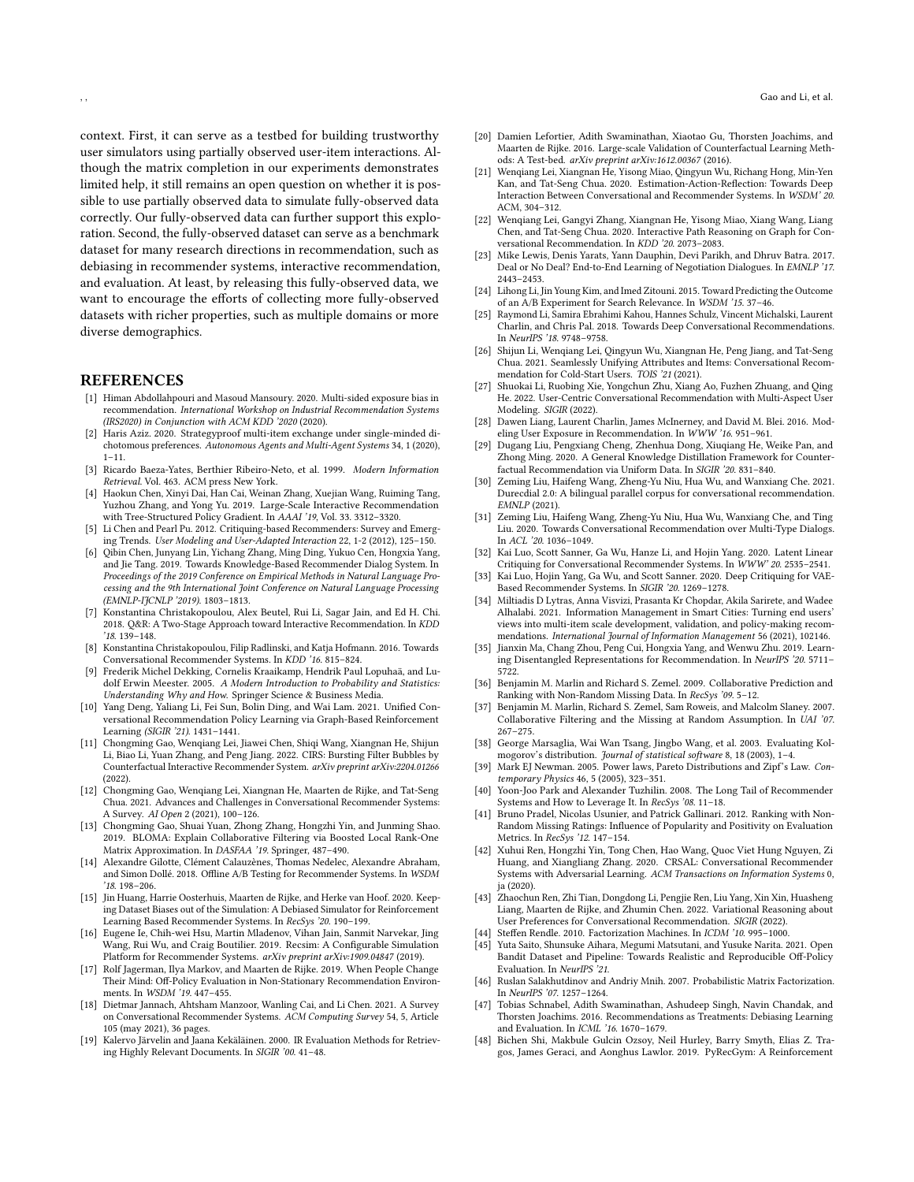context. First, it can serve as a testbed for building trustworthy user simulators using partially observed user-item interactions. Although the matrix completion in our experiments demonstrates limited help, it still remains an open question on whether it is possible to use partially observed data to simulate fully-observed data correctly. Our fully-observed data can further support this exploration. Second, the fully-observed dataset can serve as a benchmark dataset for many research directions in recommendation, such as debiasing in recommender systems, interactive recommendation, and evaluation. At least, by releasing this fully-observed data, we want to encourage the efforts of collecting more fully-observed datasets with richer properties, such as multiple domains or more diverse demographics.

#### **REFERENCES**

- <span id="page-9-4"></span>[1] Himan Abdollahpouri and Masoud Mansoury. 2020. Multi-sided exposure bias in recommendation. International Workshop on Industrial Recommendation Systems (IRS2020) in Conjunction with ACM KDD '2020 (2020).
- <span id="page-9-41"></span>[2] Haris Aziz. 2020. Strategyproof multi-item exchange under single-minded dichotomous preferences. Autonomous Agents and Multi-Agent Systems 34, 1 (2020),  $1 - 11$
- <span id="page-9-14"></span>[3] Ricardo Baeza-Yates, Berthier Ribeiro-Neto, et al. 1999. Modern Information Retrieval. Vol. 463. ACM press New York.
- <span id="page-9-21"></span>[4] Haokun Chen, Xinyi Dai, Han Cai, Weinan Zhang, Xuejian Wang, Ruiming Tang, Yuzhou Zhang, and Yong Yu. 2019. Large-Scale Interactive Recommendation with Tree-Structured Policy Gradient. In AAAI '19, Vol. 33. 3312–3320.
- <span id="page-9-22"></span>[5] Li Chen and Pearl Pu. 2012. Critiquing-based Recommenders: Survey and Emerging Trends. User Modeling and User-Adapted Interaction 22, 1-2 (2012), 125–150.
- <span id="page-9-28"></span>[6] Qibin Chen, Junyang Lin, Yichang Zhang, Ming Ding, Yukuo Cen, Hongxia Yang, and Jie Tang. 2019. Towards Knowledge-Based Recommender Dialog System. In Proceedings of the 2019 Conference on Empirical Methods in Natural Language Processing and the 9th International Joint Conference on Natural Language Processing (EMNLP-IJCNLP '2019). 1803–1813.
- <span id="page-9-25"></span>[7] Konstantina Christakopoulou, Alex Beutel, Rui Li, Sagar Jain, and Ed H. Chi. 2018. Q&R: A Two-Stage Approach toward Interactive Recommendation. In KDD '18. 139–148.
- <span id="page-9-20"></span>[8] Konstantina Christakopoulou, Filip Radlinski, and Katja Hofmann. 2016. Towards Conversational Recommender Systems. In KDD '16. 815–824.
- <span id="page-9-44"></span>[9] Frederik Michel Dekking, Cornelis Kraaikamp, Hendrik Paul Lopuhaä, and Ludolf Erwin Meester. 2005. A Modern Introduction to Probability and Statistics: Understanding Why and How. Springer Science & Business Media.
- <span id="page-9-26"></span>[10] Yang Deng, Yaliang Li, Fei Sun, Bolin Ding, and Wai Lam. 2021. Unified Conversational Recommendation Policy Learning via Graph-Based Reinforcement Learning (SIGIR '21). 1431–1441.
- <span id="page-9-8"></span>[11] Chongming Gao, Wenqiang Lei, Jiawei Chen, Shiqi Wang, Xiangnan He, Shijun Li, Biao Li, Yuan Zhang, and Peng Jiang. 2022. CIRS: Bursting Filter Bubbles by Counterfactual Interactive Recommender System. arXiv preprint arXiv:2204.01266 (2022).
- <span id="page-9-9"></span>[12] Chongming Gao, Wenqiang Lei, Xiangnan He, Maarten de Rijke, and Tat-Seng Chua. 2021. Advances and Challenges in Conversational Recommender Systems: A Survey. AI Open 2 (2021), 100–126.
- <span id="page-9-18"></span>[13] Chongming Gao, Shuai Yuan, Zhong Zhang, Hongzhi Yin, and Junming Shao. 2019. BLOMA: Explain Collaborative Filtering via Boosted Local Rank-One Matrix Approximation. In DASFAA '19. Springer, 487–490.
- <span id="page-9-12"></span>[14] Alexandre Gilotte, Clément Calauzènes, Thomas Nedelec, Alexandre Abraham, and Simon Dollé. 2018. Offline A/B Testing for Recommender Systems. In WSDM '18. 198–206.
- <span id="page-9-5"></span>[15] Jin Huang, Harrie Oosterhuis, Maarten de Rijke, and Herke van Hoof. 2020. Keeping Dataset Biases out of the Simulation: A Debiased Simulator for Reinforcement Learning Based Recommender Systems. In RecSys '20. 190–199.
- <span id="page-9-17"></span>[16] Eugene Ie, Chih-wei Hsu, Martin Mladenov, Vihan Jain, Sanmit Narvekar, Jing Wang, Rui Wu, and Craig Boutilier. 2019. Recsim: A Configurable Simulation Platform for Recommender Systems. arXiv preprint arXiv:1909.04847 (2019).
- <span id="page-9-2"></span>[17] Rolf Jagerman, Ilya Markov, and Maarten de Rijke. 2019. When People Change Their Mind: Off-Policy Evaluation in Non-Stationary Recommendation Environments. In WSDM '19. 447–455.
- <span id="page-9-37"></span>[18] Dietmar Jannach, Ahtsham Manzoor, Wanling Cai, and Li Chen. 2021. A Survey on Conversational Recommender Systems. ACM Computing Survey 54, 5, Article 105 (may 2021), 36 pages.
- <span id="page-9-13"></span>[19] Kalervo Järvelin and Jaana Kekäläinen. 2000. IR Evaluation Methods for Retrieving Highly Relevant Documents. In SIGIR '00. 41–48.
- <span id="page-9-16"></span>[20] Damien Lefortier, Adith Swaminathan, Xiaotao Gu, Thorsten Joachims, and Maarten de Rijke. 2016. Large-scale Validation of Counterfactual Learning Methods: A Test-bed. arXiv preprint arXiv:1612.00367 (2016).
- <span id="page-9-27"></span>[21] Wenqiang Lei, Xiangnan He, Yisong Miao, Qingyun Wu, Richang Hong, Min-Yen Kan, and Tat-Seng Chua. 2020. Estimation-Action-Reflection: Towards Deep Interaction Between Conversational and Recommender Systems. In WSDM' 20. ACM, 304–312.
- <span id="page-9-10"></span>[22] Wenqiang Lei, Gangyi Zhang, Xiangnan He, Yisong Miao, Xiang Wang, Liang Chen, and Tat-Seng Chua. 2020. Interactive Path Reasoning on Graph for Conversational Recommendation. In KDD '20. 2073–2083.
- <span id="page-9-35"></span>[23] Mike Lewis, Denis Yarats, Yann Dauphin, Devi Parikh, and Dhruv Batra. 2017. Deal or No Deal? End-to-End Learning of Negotiation Dialogues. In EMNLP '17. 2443–2453.
- <span id="page-9-3"></span>[24] Lihong Li, Jin Young Kim, and Imed Zitouni. 2015. Toward Predicting the Outcome of an A/B Experiment for Search Relevance. In WSDM '15. 37–46.
- <span id="page-9-29"></span>[25] Raymond Li, Samira Ebrahimi Kahou, Hannes Schulz, Vincent Michalski, Laurent Charlin, and Chris Pal. 2018. Towards Deep Conversational Recommendations. In NeurIPS '18. 9748–9758.
- <span id="page-9-11"></span>[26] Shijun Li, Wenqiang Lei, Qingyun Wu, Xiangnan He, Peng Jiang, and Tat-Seng Chua. 2021. Seamlessly Unifying Attributes and Items: Conversational Recommendation for Cold-Start Users. TOIS '21 (2021).
- <span id="page-9-30"></span>[27] Shuokai Li, Ruobing Xie, Yongchun Zhu, Xiang Ao, Fuzhen Zhuang, and Qing He. 2022. User-Centric Conversational Recommendation with Multi-Aspect User Modeling. SIGIR (2022).
- <span id="page-9-46"></span>[28] Dawen Liang, Laurent Charlin, James McInerney, and David M. Blei. 2016. Modeling User Exposure in Recommendation. In WWW '16. 951–961.
- <span id="page-9-38"></span>[29] Dugang Liu, Pengxiang Cheng, Zhenhua Dong, Xiuqiang He, Weike Pan, and Zhong Ming. 2020. A General Knowledge Distillation Framework for Counterfactual Recommendation via Uniform Data. In SIGIR '20. 831–840.
- <span id="page-9-31"></span>[30] Zeming Liu, Haifeng Wang, Zheng-Yu Niu, Hua Wu, and Wanxiang Che. 2021. Durecdial 2.0: A bilingual parallel corpus for conversational recommendation. EMNLP (2021).
- <span id="page-9-32"></span>[31] Zeming Liu, Haifeng Wang, Zheng-Yu Niu, Hua Wu, Wanxiang Che, and Ting Liu. 2020. Towards Conversational Recommendation over Multi-Type Dialogs. In ACL '20. 1036–1049.
- <span id="page-9-23"></span>[32] Kai Luo, Scott Sanner, Ga Wu, Hanze Li, and Hojin Yang. 2020. Latent Linear Critiquing for Conversational Recommender Systems. In WWW' 20. 2535–2541.
- <span id="page-9-24"></span>[33] Kai Luo, Hojin Yang, Ga Wu, and Scott Sanner. 2020. Deep Critiquing for VAE-Based Recommender Systems. In SIGIR '20. 1269–1278.
- <span id="page-9-42"></span>[34] Miltiadis D Lytras, Anna Visvizi, Prasanta Kr Chopdar, Akila Sarirete, and Wadee Alhalabi. 2021. Information Management in Smart Cities: Turning end users' views into multi-item scale development, validation, and policy-making recommendations. International Journal of Information Management 56 (2021), 102146.
- <span id="page-9-19"></span>[35] Jianxin Ma, Chang Zhou, Peng Cui, Hongxia Yang, and Wenwu Zhu. 2019. Learning Disentangled Representations for Recommendation. In NeurIPS '20. 5711– 5722.
- <span id="page-9-0"></span>[36] Benjamin M. Marlin and Richard S. Zemel. 2009. Collaborative Prediction and Ranking with Non-Random Missing Data. In RecSys '09. 5–12.
- <span id="page-9-15"></span>[37] Benjamin M. Marlin, Richard S. Zemel, Sam Roweis, and Malcolm Slaney. 2007. Collaborative Filtering and the Missing at Random Assumption. In UAI '07. 267–275.
- <span id="page-9-36"></span>[38] George Marsaglia, Wai Wan Tsang, Jingbo Wang, et al. 2003. Evaluating Kolmogorov's distribution. Journal of statistical software 8, 18 (2003), 1–4.
- <span id="page-9-39"></span>[39] Mark EJ Newman. 2005. Power laws, Pareto Distributions and Zipf's Law. Contemporary Physics 46, 5 (2005), 323–351.
- <span id="page-9-40"></span>[40] Yoon-Joo Park and Alexander Tuzhilin. 2008. The Long Tail of Recommender Systems and How to Leverage It. In RecSys '08. 11–18.
- <span id="page-9-6"></span>[41] Bruno Pradel, Nicolas Usunier, and Patrick Gallinari. 2012. Ranking with Non-Random Missing Ratings: Influence of Popularity and Positivity on Evaluation Metrics. In RecSys '12. 147–154.
- <span id="page-9-33"></span>[42] Xuhui Ren, Hongzhi Yin, Tong Chen, Hao Wang, Quoc Viet Hung Nguyen, Zi Huang, and Xiangliang Zhang. 2020. CRSAL: Conversational Recommender Systems with Adversarial Learning. ACM Transactions on Information Systems 0, ja (2020).
- <span id="page-9-34"></span>[43] Zhaochun Ren, Zhi Tian, Dongdong Li, Pengjie Ren, Liu Yang, Xin Xin, Huasheng Liang, Maarten de Rijke, and Zhumin Chen. 2022. Variational Reasoning about User Preferences for Conversational Recommendation. SIGIR (2022).
- <span id="page-9-43"></span>[44] Steffen Rendle. 2010. Factorization Machines. In *ICDM '10.* 995–1000.<br>[45] Yuta Saito, Shunsuke Aihara, Megumi Matsutani, and Yusuke Narita. 2
- <span id="page-9-7"></span>Yuta Saito, Shunsuke Aihara, Megumi Matsutani, and Yusuke Narita. 2021. Open Bandit Dataset and Pipeline: Towards Realistic and Reproducible Off-Policy Evaluation. In NeurIPS '21.
- <span id="page-9-45"></span>[46] Ruslan Salakhutdinov and Andriy Mnih. 2007. Probabilistic Matrix Factorization. In NeurIPS '07. 1257–1264.
- <span id="page-9-1"></span>[47] Tobias Schnabel, Adith Swaminathan, Ashudeep Singh, Navin Chandak, and Thorsten Joachims. 2016. Recommendations as Treatments: Debiasing Learning and Evaluation. In ICML '16. 1670–1679.
- [48] Bichen Shi, Makbule Gulcin Ozsoy, Neil Hurley, Barry Smyth, Elias Z. Tragos, James Geraci, and Aonghus Lawlor. 2019. PyRecGym: A Reinforcement